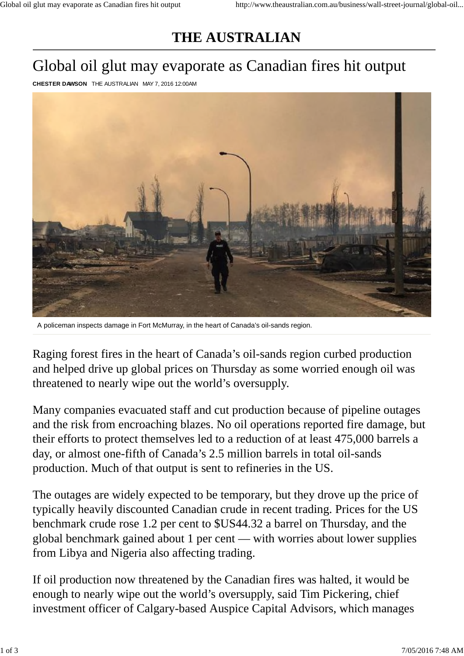## **THE AUSTRALIAN**

## Global oil glut may evaporate as Canadian fires hit output

**CHESTER DAWSON** THE AUSTRALIAN MAY 7, 2016 12:00AM



A policeman inspects damage in Fort McMurray, in the heart of Canada's oil-sands region.

Raging forest fires in the heart of Canada's oil-sands region curbed production and helped drive up global prices on Thursday as some worried enough oil was threatened to nearly wipe out the world's oversupply.

Many companies evacuated staff and cut production because of pipeline outages and the risk from encroaching blazes. No oil operations reported fire damage, but their efforts to protect themselves led to a reduction of at least 475,000 barrels a day, or almost one-fifth of Canada's 2.5 million barrels in total oil-sands production. Much of that output is sent to refineries in the US.

The outages are widely expected to be temporary, but they drove up the price of typically heavily discounted Canadian crude in recent trading. Prices for the US benchmark crude rose 1.2 per cent to \$US44.32 a barrel on Thursday, and the global benchmark gained about 1 per cent — with worries about lower supplies from Libya and Nigeria also affecting trading.

If oil production now threatened by the Canadian fires was halted, it would be enough to nearly wipe out the world's oversupply, said Tim Pickering, chief investment officer of Calgary-based Auspice Capital Advisors, which manages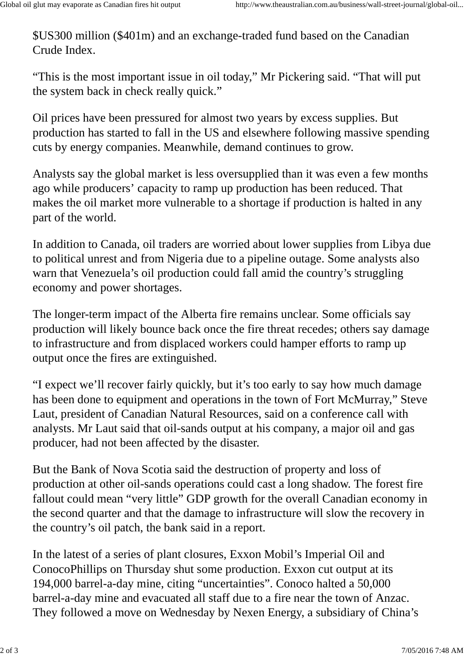\$US300 million (\$401m) and an exchange-traded fund based on the Canadian Crude Index.

"This is the most important issue in oil today," Mr Pickering said. "That will put the system back in check really quick."

Oil prices have been pressured for almost two years by excess supplies. But production has started to fall in the US and elsewhere following massive spending cuts by energy companies. Meanwhile, demand continues to grow.

Analysts say the global market is less oversupplied than it was even a few months ago while producers' capacity to ramp up production has been reduced. That makes the oil market more vulnerable to a shortage if production is halted in any part of the world.

In addition to Canada, oil traders are worried about lower supplies from Libya due to political unrest and from Nigeria due to a pipeline outage. Some analysts also warn that Venezuela's oil production could fall amid the country's struggling economy and power shortages.

The longer-term impact of the Alberta fire remains unclear. Some officials say production will likely bounce back once the fire threat recedes; others say damage to infrastructure and from displaced workers could hamper efforts to ramp up output once the fires are extinguished.

"I expect we'll recover fairly quickly, but it's too early to say how much damage has been done to equipment and operations in the town of Fort McMurray," Steve Laut, president of Canadian Natural Resources, said on a conference call with analysts. Mr Laut said that oil-sands output at his company, a major oil and gas producer, had not been affected by the disaster.

But the Bank of Nova Scotia said the destruction of property and loss of production at other oil-sands operations could cast a long shadow. The forest fire fallout could mean "very little" GDP growth for the overall Canadian economy in the second quarter and that the damage to infrastructure will slow the recovery in the country's oil patch, the bank said in a report.

In the latest of a series of plant closures, Exxon Mobil's Imperial Oil and ConocoPhillips on Thursday shut some production. Exxon cut output at its 194,000 barrel-a-day mine, citing "uncertainties". Conoco halted a 50,000 barrel-a-day mine and evacuated all staff due to a fire near the town of Anzac. They followed a move on Wednesday by Nexen Energy, a subsidiary of China's